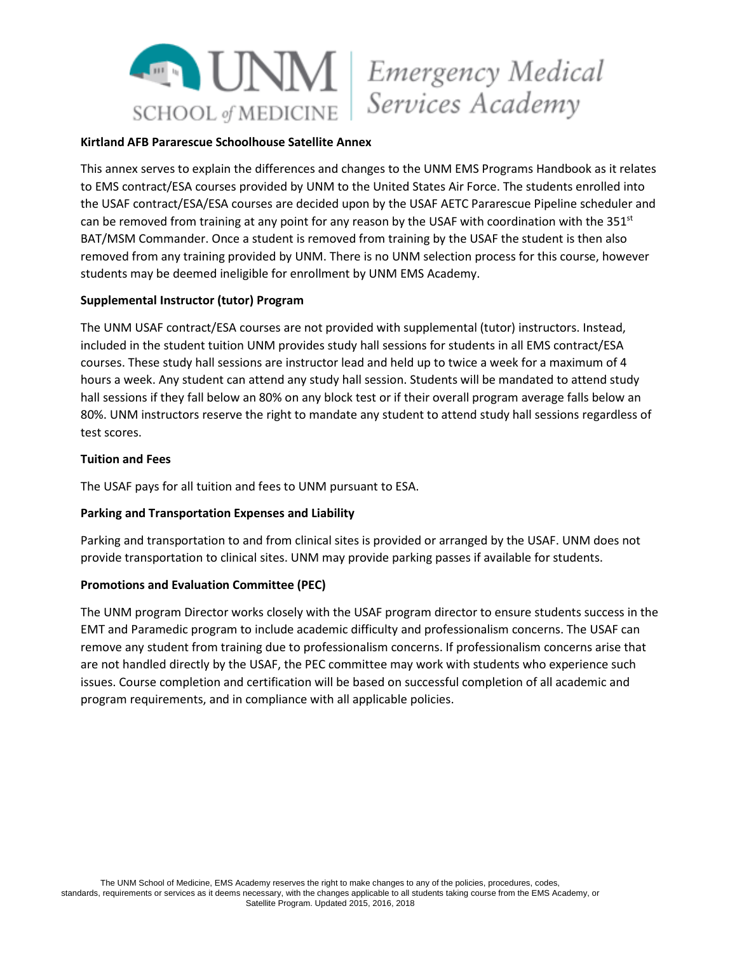

# Services Academy

#### **Kirtland AFB Pararescue Schoolhouse Satellite Annex**

This annex serves to explain the differences and changes to the UNM EMS Programs Handbook as it relates to EMS contract/ESA courses provided by UNM to the United States Air Force. The students enrolled into the USAF contract/ESA/ESA courses are decided upon by the USAF AETC Pararescue Pipeline scheduler and can be removed from training at any point for any reason by the USAF with coordination with the  $351<sup>st</sup>$ BAT/MSM Commander. Once a student is removed from training by the USAF the student is then also removed from any training provided by UNM. There is no UNM selection process for this course, however students may be deemed ineligible for enrollment by UNM EMS Academy.

#### **Supplemental Instructor (tutor) Program**

The UNM USAF contract/ESA courses are not provided with supplemental (tutor) instructors. Instead, included in the student tuition UNM provides study hall sessions for students in all EMS contract/ESA courses. These study hall sessions are instructor lead and held up to twice a week for a maximum of 4 hours a week. Any student can attend any study hall session. Students will be mandated to attend study hall sessions if they fall below an 80% on any block test or if their overall program average falls below an 80%. UNM instructors reserve the right to mandate any student to attend study hall sessions regardless of test scores.

#### **Tuition and Fees**

The USAF pays for all tuition and fees to UNM pursuant to ESA.

#### **Parking and Transportation Expenses and Liability**

Parking and transportation to and from clinical sites is provided or arranged by the USAF. UNM does not provide transportation to clinical sites. UNM may provide parking passes if available for students.

#### **Promotions and Evaluation Committee (PEC)**

The UNM program Director works closely with the USAF program director to ensure students success in the EMT and Paramedic program to include academic difficulty and professionalism concerns. The USAF can remove any student from training due to professionalism concerns. If professionalism concerns arise that are not handled directly by the USAF, the PEC committee may work with students who experience such issues. Course completion and certification will be based on successful completion of all academic and program requirements, and in compliance with all applicable policies.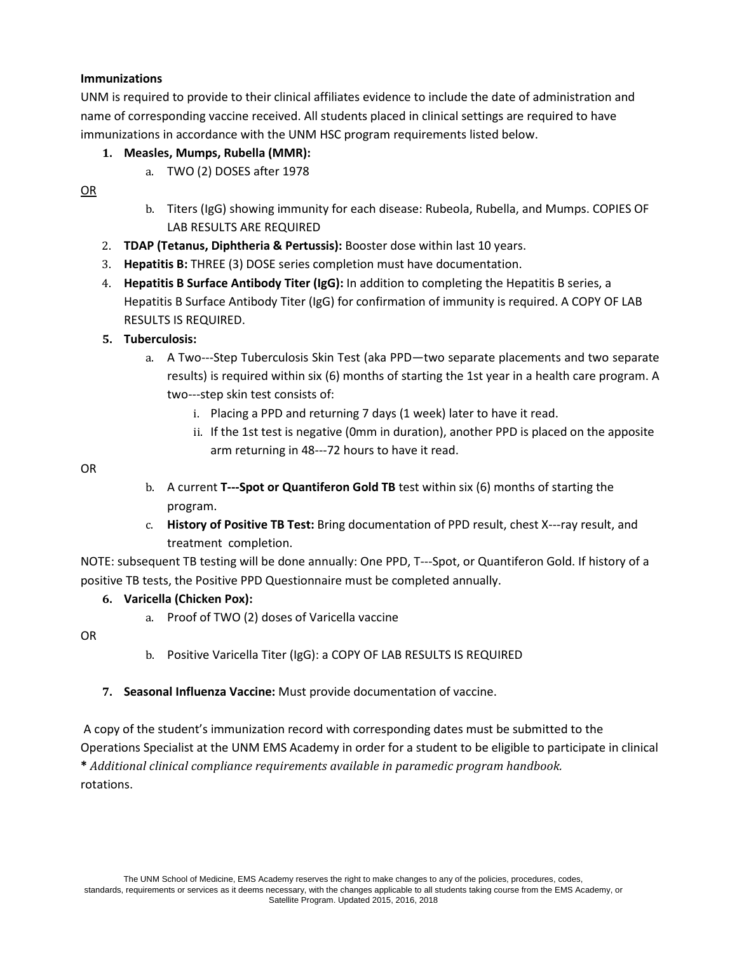# **Immunizations**

UNM is required to provide to their clinical affiliates evidence to include the date of administration and name of corresponding vaccine received. All students placed in clinical settings are required to have immunizations in accordance with the UNM HSC program requirements listed below.

# **1. Measles, Mumps, Rubella (MMR):**

a. TWO (2) DOSES after 1978

OR

- b. Titers (IgG) showing immunity for each disease: Rubeola, Rubella, and Mumps. COPIES OF LAB RESULTS ARE REQUIRED
- 2. **TDAP (Tetanus, Diphtheria & Pertussis):** Booster dose within last 10 years.
- 3. **Hepatitis B:** THREE (3) DOSE series completion must have documentation.
- 4. **Hepatitis B Surface Antibody Titer (IgG):** In addition to completing the Hepatitis B series, a Hepatitis B Surface Antibody Titer (IgG) for confirmation of immunity is required. A COPY OF LAB RESULTS IS REQUIRED.

# **5. Tuberculosis:**

- a. A Two---Step Tuberculosis Skin Test (aka PPD—two separate placements and two separate results) is required within six (6) months of starting the 1st year in a health care program. A two---step skin test consists of:
	- i. Placing a PPD and returning 7 days (1 week) later to have it read.
	- ii. If the 1st test is negative (0mm in duration), another PPD is placed on the apposite arm returning in 48---72 hours to have it read.

OR

- b. A current **T---Spot or Quantiferon Gold TB** test within six (6) months of starting the program.
- c. **History of Positive TB Test:** Bring documentation of PPD result, chest X---ray result, and treatment completion.

NOTE: subsequent TB testing will be done annually: One PPD, T---Spot, or Quantiferon Gold. If history of a positive TB tests, the Positive PPD Questionnaire must be completed annually.

# **6. Varicella (Chicken Pox):**

a. Proof of TWO (2) doses of Varicella vaccine

OR

- b. Positive Varicella Titer (IgG): a COPY OF LAB RESULTS IS REQUIRED
- **7. Seasonal Influenza Vaccine:** Must provide documentation of vaccine.

A copy of the student's immunization record with corresponding dates must be submitted to the Operations Specialist at the UNM EMS Academy in order for a student to be eligible to participate in clinical **\*** *Additional clinical compliance requirements available in paramedic program handbook.* rotations.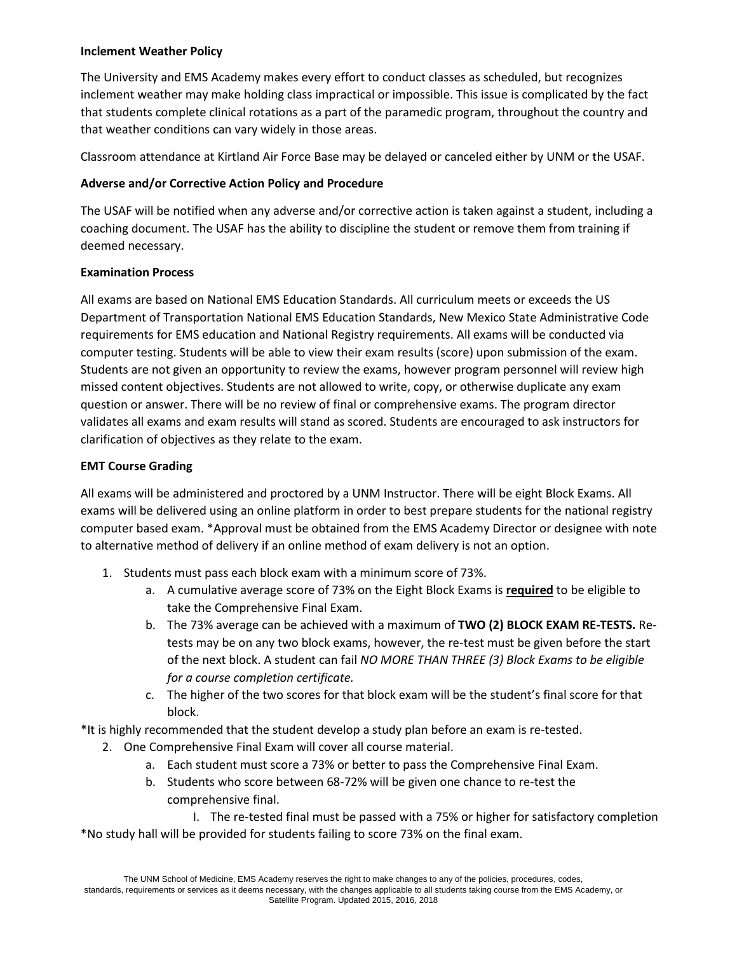#### **Inclement Weather Policy**

The University and EMS Academy makes every effort to conduct classes as scheduled, but recognizes inclement weather may make holding class impractical or impossible. This issue is complicated by the fact that students complete clinical rotations as a part of the paramedic program, throughout the country and that weather conditions can vary widely in those areas.

Classroom attendance at Kirtland Air Force Base may be delayed or canceled either by UNM or the USAF.

## **Adverse and/or Corrective Action Policy and Procedure**

The USAF will be notified when any adverse and/or corrective action is taken against a student, including a coaching document. The USAF has the ability to discipline the student or remove them from training if deemed necessary.

#### **Examination Process**

All exams are based on National EMS Education Standards. All curriculum meets or exceeds the US Department of Transportation National EMS Education Standards, New Mexico State Administrative Code requirements for EMS education and National Registry requirements. All exams will be conducted via computer testing. Students will be able to view their exam results (score) upon submission of the exam. Students are not given an opportunity to review the exams, however program personnel will review high missed content objectives. Students are not allowed to write, copy, or otherwise duplicate any exam question or answer. There will be no review of final or comprehensive exams. The program director validates all exams and exam results will stand as scored. Students are encouraged to ask instructors for clarification of objectives as they relate to the exam.

## **EMT Course Grading**

All exams will be administered and proctored by a UNM Instructor. There will be eight Block Exams. All exams will be delivered using an online platform in order to best prepare students for the national registry computer based exam. \*Approval must be obtained from the EMS Academy Director or designee with note to alternative method of delivery if an online method of exam delivery is not an option.

- 1. Students must pass each block exam with a minimum score of 73%.
	- a. A cumulative average score of 73% on the Eight Block Exams is **required** to be eligible to take the Comprehensive Final Exam.
	- b. The 73% average can be achieved with a maximum of **TWO (2) BLOCK EXAM RE-TESTS.** Retests may be on any two block exams, however, the re-test must be given before the start of the next block. A student can fail *NO MORE THAN THREE (3) Block Exams to be eligible for a course completion certificate.*
	- c. The higher of the two scores for that block exam will be the student's final score for that block.

\*It is highly recommended that the student develop a study plan before an exam is re-tested.

- 2. One Comprehensive Final Exam will cover all course material.
	- a. Each student must score a 73% or better to pass the Comprehensive Final Exam.
	- b. Students who score between 68-72% will be given one chance to re-test the comprehensive final.

I. The re-tested final must be passed with a 75% or higher for satisfactory completion \*No study hall will be provided for students failing to score 73% on the final exam.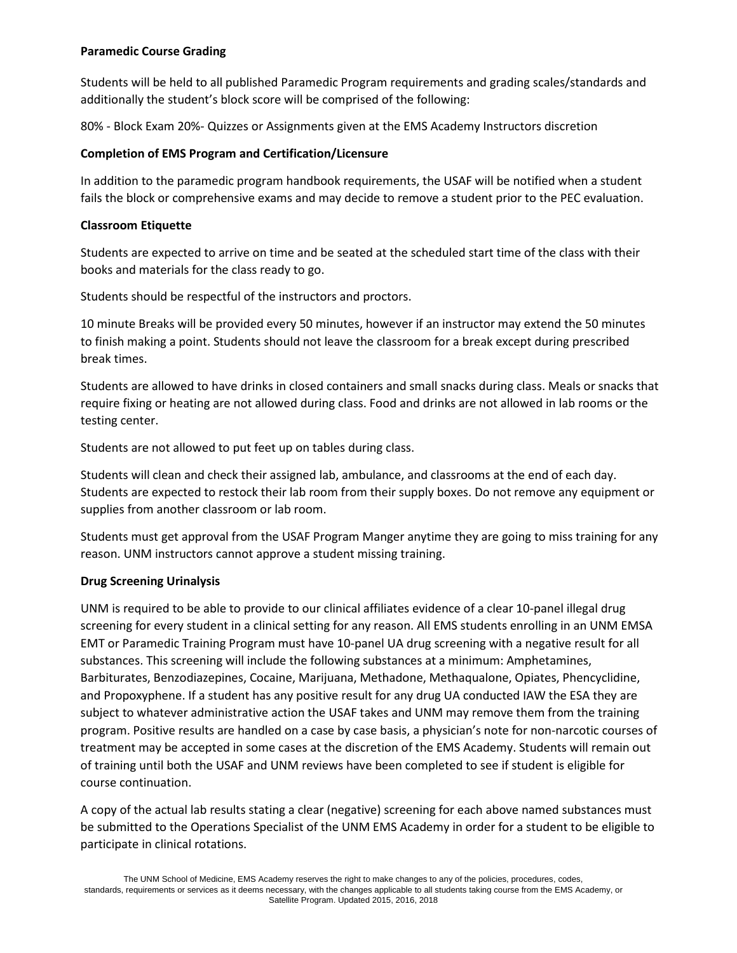## **Paramedic Course Grading**

Students will be held to all published Paramedic Program requirements and grading scales/standards and additionally the student's block score will be comprised of the following:

80% - Block Exam 20%- Quizzes or Assignments given at the EMS Academy Instructors discretion

## **Completion of EMS Program and Certification/Licensure**

In addition to the paramedic program handbook requirements, the USAF will be notified when a student fails the block or comprehensive exams and may decide to remove a student prior to the PEC evaluation.

## **Classroom Etiquette**

Students are expected to arrive on time and be seated at the scheduled start time of the class with their books and materials for the class ready to go.

Students should be respectful of the instructors and proctors.

10 minute Breaks will be provided every 50 minutes, however if an instructor may extend the 50 minutes to finish making a point. Students should not leave the classroom for a break except during prescribed break times.

Students are allowed to have drinks in closed containers and small snacks during class. Meals or snacks that require fixing or heating are not allowed during class. Food and drinks are not allowed in lab rooms or the testing center.

Students are not allowed to put feet up on tables during class.

Students will clean and check their assigned lab, ambulance, and classrooms at the end of each day. Students are expected to restock their lab room from their supply boxes. Do not remove any equipment or supplies from another classroom or lab room.

Students must get approval from the USAF Program Manger anytime they are going to miss training for any reason. UNM instructors cannot approve a student missing training.

# **Drug Screening Urinalysis**

UNM is required to be able to provide to our clinical affiliates evidence of a clear 10-panel illegal drug screening for every student in a clinical setting for any reason. All EMS students enrolling in an UNM EMSA EMT or Paramedic Training Program must have 10-panel UA drug screening with a negative result for all substances. This screening will include the following substances at a minimum: Amphetamines, Barbiturates, Benzodiazepines, Cocaine, Marijuana, Methadone, Methaqualone, Opiates, Phencyclidine, and Propoxyphene. If a student has any positive result for any drug UA conducted IAW the ESA they are subject to whatever administrative action the USAF takes and UNM may remove them from the training program. Positive results are handled on a case by case basis, a physician's note for non-narcotic courses of treatment may be accepted in some cases at the discretion of the EMS Academy. Students will remain out of training until both the USAF and UNM reviews have been completed to see if student is eligible for course continuation.

A copy of the actual lab results stating a clear (negative) screening for each above named substances must be submitted to the Operations Specialist of the UNM EMS Academy in order for a student to be eligible to participate in clinical rotations.